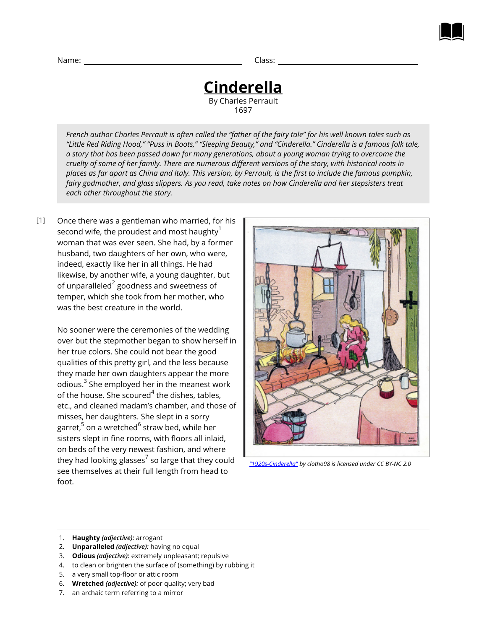**Cinderella** By Charles Perrault 1697

*French author Charles Perrault is often called the "father of the fairy tale" for his well known tales such as "Little Red Riding Hood," "Puss in Boots," "Sleeping Beauty," and "Cinderella." Cinderella is a famous folk tale, a story that has been passed down for many generations, about a young woman trying to overcome the cruelty of some of her family. There are numerous different versions of the story, with historical roots in places as far apart as China and Italy. This version, by Perrault, is the first to include the famous pumpkin, fairy godmother, and glass slippers. As you read, take notes on how Cinderella and her stepsisters treat each other throughout the story.*

Once there was a gentleman who married, for his second wife, the proudest and most haughty $1$ woman that was ever seen. She had, by a former husband, two daughters of her own, who were, indeed, exactly like her in all things. He had likewise, by another wife, a young daughter, but of unparalleled $^{\mathsf{2}}$  goodness and sweetness of temper, which she took from her mother, who was the best creature in the world. [1]

> No sooner were the ceremonies of the wedding over but the stepmother began to show herself in her true colors. She could not bear the good qualities of this pretty girl, and the less because they made her own daughters appear the more odious. $^3$  She employed her in the meanest work of the house. She scoured $^{\rm 4}$  the dishes, tables, etc., and cleaned madam's chamber, and those of misses, her daughters. She slept in a sorry garret,<sup>5</sup> on a wretched<sup>6</sup> straw bed, while her sisters slept in fine rooms, with floors all inlaid, on beds of the very newest fashion, and where they had looking glasses $^7$  so large that they could see themselves at their full length from head to foot.



*["1920s-Cinderella"](https://www.flickr.com/photos/clotho98/5706580212) by clotho98 is licensed under CC BY-NC 2.0*

- 1. **Haughty** *(adjective):* arrogant
- 2. **Unparalleled** *(adjective):* having no equal
- 3. **Odious** *(adjective):* extremely unpleasant; repulsive
- 4. to clean or brighten the surface of (something) by rubbing it
- 5. a very small top-floor or attic room
- 6. **Wretched** *(adjective):* of poor quality; very bad
- 7. an archaic term referring to a mirror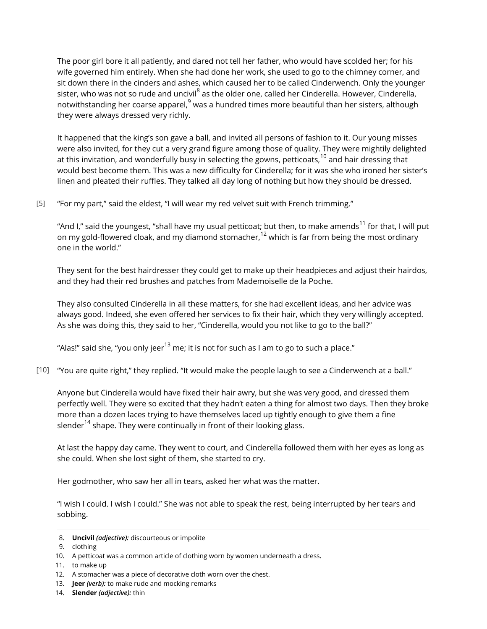The poor girl bore it all patiently, and dared not tell her father, who would have scolded her; for his wife governed him entirely. When she had done her work, she used to go to the chimney corner, and sit down there in the cinders and ashes, which caused her to be called Cinderwench. Only the younger sister, who was not so rude and uncivil<sup>8</sup> as the older one, called her Cinderella. However, Cinderella, notwithstanding her coarse apparel, $9$  was a hundred times more beautiful than her sisters, although they were always dressed very richly.

It happened that the king's son gave a ball, and invited all persons of fashion to it. Our young misses were also invited, for they cut a very grand figure among those of quality. They were mightily delighted at this invitation, and wonderfully busy in selecting the gowns, petticoats,<sup>10</sup> and hair dressing that would best become them. This was a new difficulty for Cinderella; for it was she who ironed her sister's linen and pleated their ruffles. They talked all day long of nothing but how they should be dressed.

#### "For my part," said the eldest, "I will wear my red velvet suit with French trimming." [5]

"And I," said the youngest, "shall have my usual petticoat; but then, to make amends<sup>11</sup> for that, I will put on my gold-flowered cloak, and my diamond stomacher,<sup>12</sup> which is far from being the most ordinary one in the world."

They sent for the best hairdresser they could get to make up their headpieces and adjust their hairdos, and they had their red brushes and patches from Mademoiselle de la Poche.

They also consulted Cinderella in all these matters, for she had excellent ideas, and her advice was always good. Indeed, she even offered her services to fix their hair, which they very willingly accepted. As she was doing this, they said to her, "Cinderella, would you not like to go to the ball?"

"Alas!" said she, "you only jeer $^{13}$  me; it is not for such as I am to go to such a place."

"You are quite right," they replied. "It would make the people laugh to see a Cinderwench at a ball." [10]

Anyone but Cinderella would have fixed their hair awry, but she was very good, and dressed them perfectly well. They were so excited that they hadn't eaten a thing for almost two days. Then they broke more than a dozen laces trying to have themselves laced up tightly enough to give them a fine slender<sup>14</sup> shape. They were continually in front of their looking glass.

At last the happy day came. They went to court, and Cinderella followed them with her eyes as long as she could. When she lost sight of them, she started to cry.

Her godmother, who saw her all in tears, asked her what was the matter.

"I wish I could. I wish I could." She was not able to speak the rest, being interrupted by her tears and sobbing.

<sup>8.</sup> **Uncivil** *(adjective):* discourteous or impolite

<sup>9.</sup> clothing

<sup>10.</sup> A petticoat was a common article of clothing worn by women underneath a dress.

<sup>11.</sup> to make up

<sup>12.</sup> A stomacher was a piece of decorative cloth worn over the chest.

<sup>13.</sup> **Jeer** *(verb):* to make rude and mocking remarks

<sup>14.</sup> **Slender** *(adjective):* thin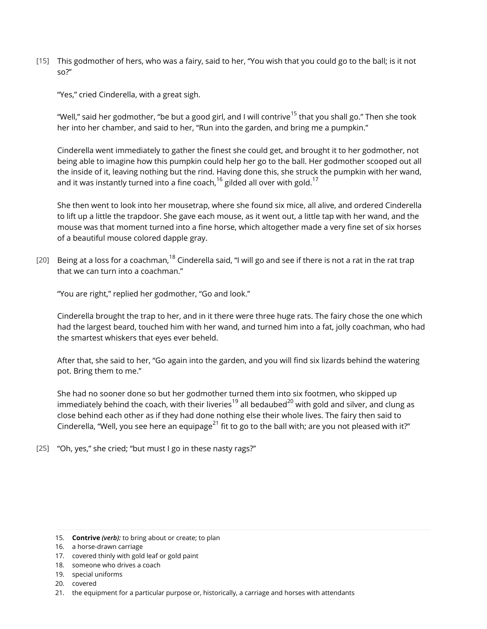This godmother of hers, who was a fairy, said to her, "You wish that you could go to the ball; is it not [15] so?"

"Yes," cried Cinderella, with a great sigh.

"Well," said her godmother, "be but a good girl, and I will contrive<sup>15</sup> that you shall go." Then she took her into her chamber, and said to her, "Run into the garden, and bring me a pumpkin."

Cinderella went immediately to gather the finest she could get, and brought it to her godmother, not being able to imagine how this pumpkin could help her go to the ball. Her godmother scooped out all the inside of it, leaving nothing but the rind. Having done this, she struck the pumpkin with her wand, and it was instantly turned into a fine coach,  $16$  gilded all over with gold.<sup>17</sup>

She then went to look into her mousetrap, where she found six mice, all alive, and ordered Cinderella to lift up a little the trapdoor. She gave each mouse, as it went out, a little tap with her wand, and the mouse was that moment turned into a fine horse, which altogether made a very fine set of six horses of a beautiful mouse colored dapple gray.

[20] Being at a loss for a coachman,  $^{18}$  Cinderella said, "I will go and see if there is not a rat in the rat trap that we can turn into a coachman."

"You are right," replied her godmother, "Go and look."

Cinderella brought the trap to her, and in it there were three huge rats. The fairy chose the one which had the largest beard, touched him with her wand, and turned him into a fat, jolly coachman, who had the smartest whiskers that eyes ever beheld.

After that, she said to her, "Go again into the garden, and you will find six lizards behind the watering pot. Bring them to me."

She had no sooner done so but her godmother turned them into six footmen, who skipped up immediately behind the coach, with their liveries<sup>19</sup> all bedaubed<sup>20</sup> with gold and silver, and clung as close behind each other as if they had done nothing else their whole lives. The fairy then said to Cinderella, "Well, you see here an equipage<sup>21</sup> fit to go to the ball with; are you not pleased with it?"

"Oh, yes," she cried; "but must I go in these nasty rags?" [25]

<sup>15.</sup> **Contrive** *(verb):* to bring about or create; to plan

<sup>16.</sup> a horse-drawn carriage

<sup>17.</sup> covered thinly with gold leaf or gold paint

<sup>18.</sup> someone who drives a coach

<sup>19.</sup> special uniforms

<sup>20.</sup> covered

<sup>21.</sup> the equipment for a particular purpose or, historically, a carriage and horses with attendants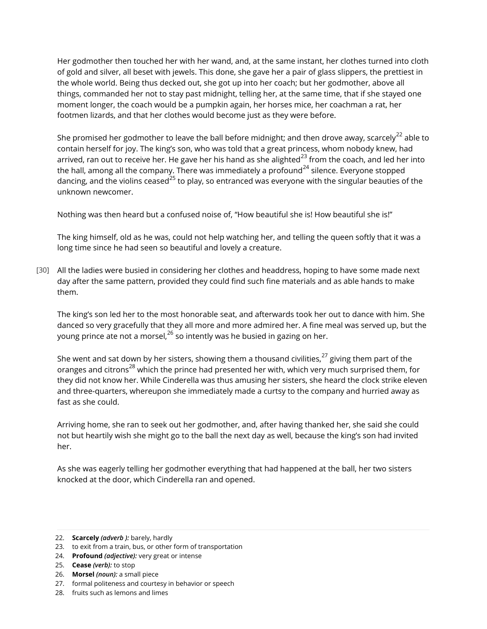Her godmother then touched her with her wand, and, at the same instant, her clothes turned into cloth of gold and silver, all beset with jewels. This done, she gave her a pair of glass slippers, the prettiest in the whole world. Being thus decked out, she got up into her coach; but her godmother, above all things, commanded her not to stay past midnight, telling her, at the same time, that if she stayed one moment longer, the coach would be a pumpkin again, her horses mice, her coachman a rat, her footmen lizards, and that her clothes would become just as they were before.

She promised her godmother to leave the ball before midnight; and then drove away, scarcely<sup>22</sup> able to contain herself for joy. The king's son, who was told that a great princess, whom nobody knew, had arrived, ran out to receive her. He gave her his hand as she alighted $^{23}$  from the coach, and led her into the hall, among all the company. There was immediately a profound<sup>24</sup> silence. Everyone stopped dancing, and the violins ceased<sup>25</sup> to play, so entranced was everyone with the singular beauties of the unknown newcomer.

Nothing was then heard but a confused noise of, "How beautiful she is! How beautiful she is!"

The king himself, old as he was, could not help watching her, and telling the queen softly that it was a long time since he had seen so beautiful and lovely a creature.

[30] All the ladies were busied in considering her clothes and headdress, hoping to have some made next day after the same pattern, provided they could find such fine materials and as able hands to make them.

The king's son led her to the most honorable seat, and afterwards took her out to dance with him. She danced so very gracefully that they all more and more admired her. A fine meal was served up, but the young prince ate not a morsel,  $^{26}$  so intently was he busied in gazing on her.

She went and sat down by her sisters, showing them a thousand civilities,  $27$  giving them part of the oranges and citrons<sup>28</sup> which the prince had presented her with, which very much surprised them, for they did not know her. While Cinderella was thus amusing her sisters, she heard the clock strike eleven and three-quarters, whereupon she immediately made a curtsy to the company and hurried away as fast as she could.

Arriving home, she ran to seek out her godmother, and, after having thanked her, she said she could not but heartily wish she might go to the ball the next day as well, because the king's son had invited her.

As she was eagerly telling her godmother everything that had happened at the ball, her two sisters knocked at the door, which Cinderella ran and opened.

<sup>22.</sup> **Scarcely** *(adverb ):* barely, hardly

<sup>23.</sup> to exit from a train, bus, or other form of transportation

<sup>24.</sup> **Profound** *(adjective):* very great or intense

<sup>25.</sup> **Cease** *(verb):* to stop

<sup>26.</sup> **Morsel** *(noun):* a small piece

<sup>27.</sup> formal politeness and courtesy in behavior or speech

<sup>28.</sup> fruits such as lemons and limes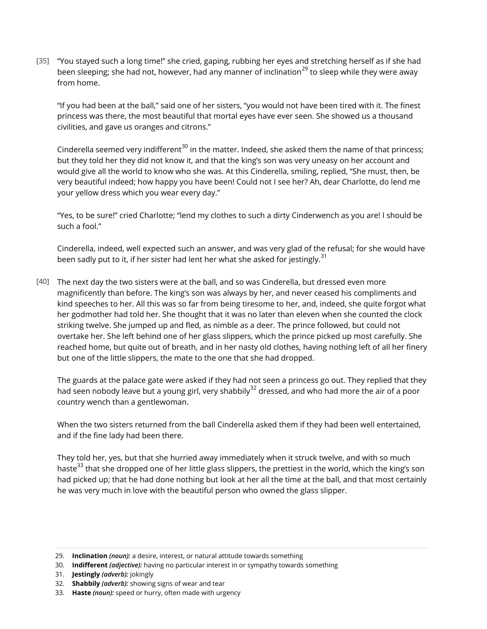"You stayed such a long time!" she cried, gaping, rubbing her eyes and stretching herself as if she had [35] been sleeping; she had not, however, had any manner of inclination<sup>29</sup> to sleep while they were away from home.

"If you had been at the ball," said one of her sisters, "you would not have been tired with it. The finest princess was there, the most beautiful that mortal eyes have ever seen. She showed us a thousand civilities, and gave us oranges and citrons."

Cinderella seemed very indifferent<sup>30</sup> in the matter. Indeed, she asked them the name of that princess; but they told her they did not know it, and that the king's son was very uneasy on her account and would give all the world to know who she was. At this Cinderella, smiling, replied, "She must, then, be very beautiful indeed; how happy you have been! Could not I see her? Ah, dear Charlotte, do lend me your yellow dress which you wear every day."

"Yes, to be sure!" cried Charlotte; "lend my clothes to such a dirty Cinderwench as you are! I should be such a fool."

Cinderella, indeed, well expected such an answer, and was very glad of the refusal; for she would have been sadly put to it, if her sister had lent her what she asked for jestingly.<sup>31</sup>

 $\left[40\right]$   $\,$  The next day the two sisters were at the ball, and so was Cinderella, but dressed even more magnificently than before. The king's son was always by her, and never ceased his compliments and kind speeches to her. All this was so far from being tiresome to her, and, indeed, she quite forgot what her godmother had told her. She thought that it was no later than eleven when she counted the clock striking twelve. She jumped up and fled, as nimble as a deer. The prince followed, but could not overtake her. She left behind one of her glass slippers, which the prince picked up most carefully. She reached home, but quite out of breath, and in her nasty old clothes, having nothing left of all her finery but one of the little slippers, the mate to the one that she had dropped.

The guards at the palace gate were asked if they had not seen a princess go out. They replied that they had seen nobody leave but a young girl, very shabbily<sup>32</sup> dressed, and who had more the air of a poor country wench than a gentlewoman.

When the two sisters returned from the ball Cinderella asked them if they had been well entertained, and if the fine lady had been there.

They told her, yes, but that she hurried away immediately when it struck twelve, and with so much haste<sup>33</sup> that she dropped one of her little glass slippers, the prettiest in the world, which the king's son had picked up; that he had done nothing but look at her all the time at the ball, and that most certainly he was very much in love with the beautiful person who owned the glass slipper.

<sup>29.</sup> **Inclination** *(noun):* a desire, interest, or natural attitude towards something

<sup>30.</sup> **Indifferent** *(adjective):* having no particular interest in or sympathy towards something

<sup>31.</sup> **Jestingly** *(adverb):* jokingly

<sup>32.</sup> **Shabbily** *(adverb):* showing signs of wear and tear

<sup>33.</sup> **Haste** *(noun):* speed or hurry, often made with urgency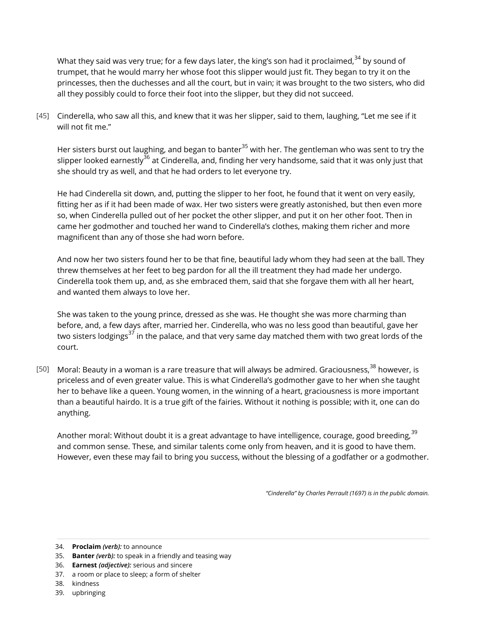What they said was very true; for a few days later, the king's son had it proclaimed,  $34$  by sound of trumpet, that he would marry her whose foot this slipper would just fit. They began to try it on the princesses, then the duchesses and all the court, but in vain; it was brought to the two sisters, who did all they possibly could to force their foot into the slipper, but they did not succeed.

 $[45]$  Cinderella, who saw all this, and knew that it was her slipper, said to them, laughing, "Let me see if it will not fit me."

Her sisters burst out laughing, and began to banter<sup>35</sup> with her. The gentleman who was sent to try the slipper looked earnestly<sup>36</sup> at Cinderella, and, finding her very handsome, said that it was only just that she should try as well, and that he had orders to let everyone try.

He had Cinderella sit down, and, putting the slipper to her foot, he found that it went on very easily, fitting her as if it had been made of wax. Her two sisters were greatly astonished, but then even more so, when Cinderella pulled out of her pocket the other slipper, and put it on her other foot. Then in came her godmother and touched her wand to Cinderella's clothes, making them richer and more magnificent than any of those she had worn before.

And now her two sisters found her to be that fine, beautiful lady whom they had seen at the ball. They threw themselves at her feet to beg pardon for all the ill treatment they had made her undergo. Cinderella took them up, and, as she embraced them, said that she forgave them with all her heart, and wanted them always to love her.

She was taken to the young prince, dressed as she was. He thought she was more charming than before, and, a few days after, married her. Cinderella, who was no less good than beautiful, gave her two sisters lodgings<sup>37</sup> in the palace, and that very same day matched them with two great lords of the court.

[50] Moral: Beauty in a woman is a rare treasure that will always be admired. Graciousness, $^{38}$  however, is priceless and of even greater value. This is what Cinderella's godmother gave to her when she taught her to behave like a queen. Young women, in the winning of a heart, graciousness is more important than a beautiful hairdo. It is a true gift of the fairies. Without it nothing is possible; with it, one can do anything.

Another moral: Without doubt it is a great advantage to have intelligence, courage, good breeding, <sup>39</sup> and common sense. These, and similar talents come only from heaven, and it is good to have them. However, even these may fail to bring you success, without the blessing of a godfather or a godmother.

*"Cinderella" by Charles Perrault (1697) is in the public domain.*

34. **Proclaim** *(verb):* to announce

- 35. **Banter** *(verb):* to speak in a friendly and teasing way
- 36. **Earnest** *(adjective):* serious and sincere
- 37. a room or place to sleep; a form of shelter
- 38. kindness
- 39. upbringing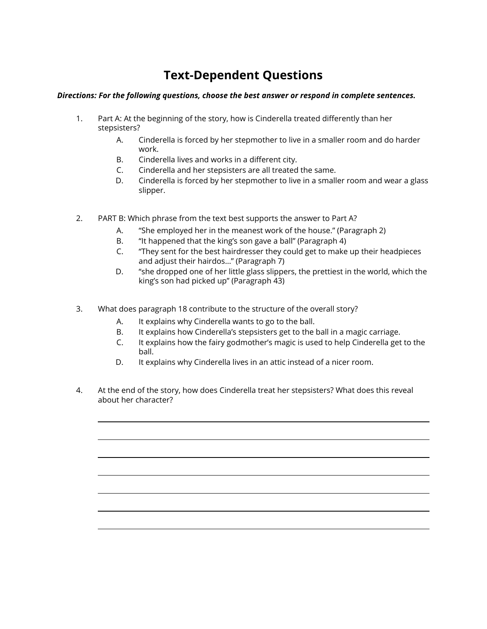## **Text-Dependent Questions**

### *Directions: For the following questions, choose the best answer or respond in complete sentences.*

- 1. Part A: At the beginning of the story, how is Cinderella treated differently than her stepsisters?
	- A. Cinderella is forced by her stepmother to live in a smaller room and do harder work.
	- B. Cinderella lives and works in a different city.
	- C. Cinderella and her stepsisters are all treated the same.
	- D. Cinderella is forced by her stepmother to live in a smaller room and wear a glass slipper.
- 2. PART B: Which phrase from the text best supports the answer to Part A?
	- A. "She employed her in the meanest work of the house." (Paragraph 2)
	- B. "It happened that the king's son gave a ball" (Paragraph 4)
	- C. "They sent for the best hairdresser they could get to make up their headpieces and adjust their hairdos…" (Paragraph 7)
	- D. "she dropped one of her little glass slippers, the prettiest in the world, which the king's son had picked up" (Paragraph 43)
- 3. What does paragraph 18 contribute to the structure of the overall story?
	- A. It explains why Cinderella wants to go to the ball.
	- B. It explains how Cinderella's stepsisters get to the ball in a magic carriage.
	- C. It explains how the fairy godmother's magic is used to help Cinderella get to the ball.
	- D. It explains why Cinderella lives in an attic instead of a nicer room.
- 4. At the end of the story, how does Cinderella treat her stepsisters? What does this reveal about her character?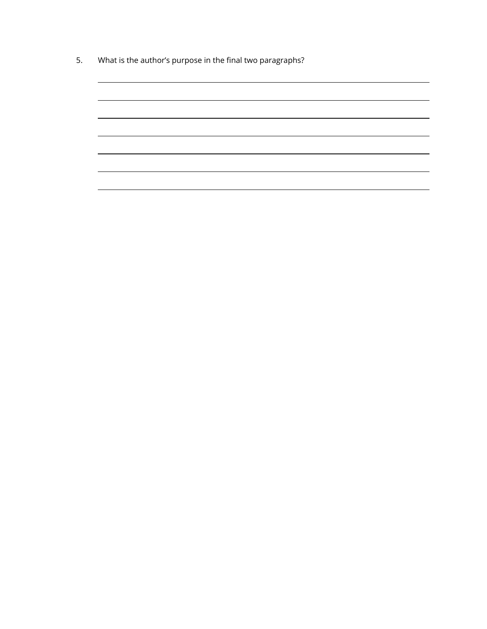5. What is the author's purpose in the final two paragraphs?

<u> 1989 - Johann Stoff, deutscher Stoffen und der Stoffen und der Stoffen und der Stoffen und der Stoffen und der</u>